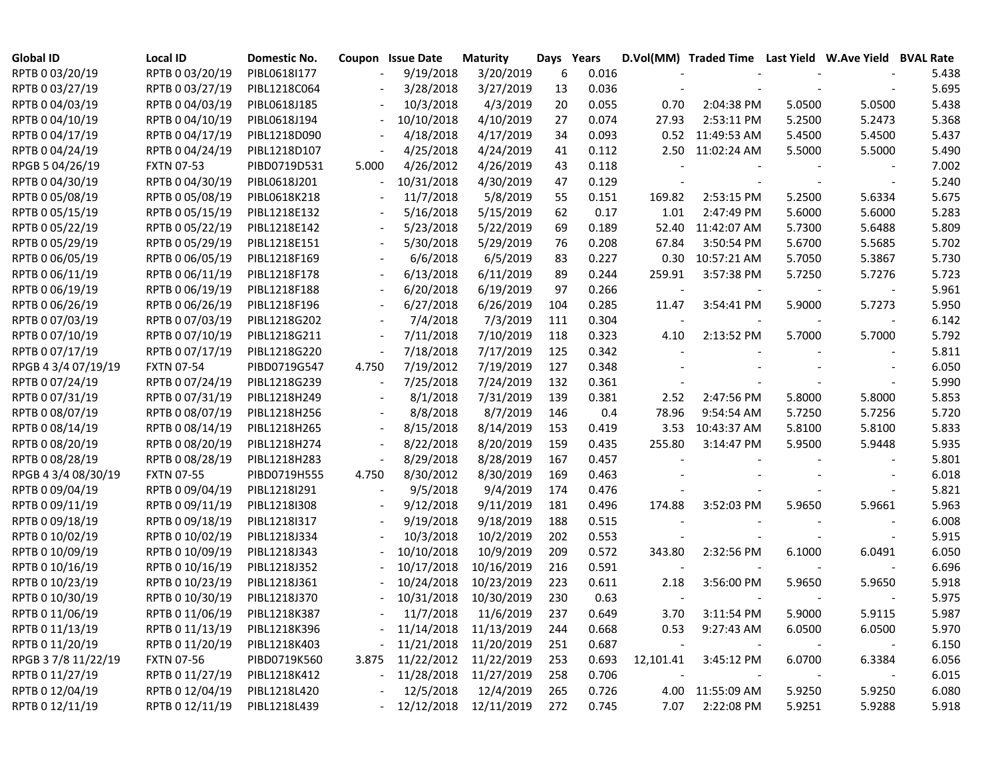| <b>Global ID</b>    | <b>Local ID</b>   | Domestic No. |                          | Coupon Issue Date | <b>Maturity</b>       | Days | Years |           | D.Vol(MM) Traded Time Last Yield W.Ave Yield BVAL Rate |        |        |       |
|---------------------|-------------------|--------------|--------------------------|-------------------|-----------------------|------|-------|-----------|--------------------------------------------------------|--------|--------|-------|
| RPTB 0 03/20/19     | RPTB 0 03/20/19   | PIBL0618I177 |                          | 9/19/2018         | 3/20/2019             | 6    | 0.016 |           |                                                        |        |        | 5.438 |
| RPTB 0 03/27/19     | RPTB 0 03/27/19   | PIBL1218C064 |                          | 3/28/2018         | 3/27/2019             | 13   | 0.036 |           |                                                        |        |        | 5.695 |
| RPTB 0 04/03/19     | RPTB 0 04/03/19   | PIBL0618J185 |                          | 10/3/2018         | 4/3/2019              | 20   | 0.055 | 0.70      | 2:04:38 PM                                             | 5.0500 | 5.0500 | 5.438 |
| RPTB 0 04/10/19     | RPTB 0 04/10/19   | PIBL0618J194 |                          | 10/10/2018        | 4/10/2019             | 27   | 0.074 | 27.93     | 2:53:11 PM                                             | 5.2500 | 5.2473 | 5.368 |
| RPTB 0 04/17/19     | RPTB 0 04/17/19   | PIBL1218D090 |                          | 4/18/2018         | 4/17/2019             | 34   | 0.093 |           | 0.52 11:49:53 AM                                       | 5.4500 | 5.4500 | 5.437 |
| RPTB 0 04/24/19     | RPTB 0 04/24/19   | PIBL1218D107 |                          | 4/25/2018         | 4/24/2019             | 41   | 0.112 |           | 2.50 11:02:24 AM                                       | 5.5000 | 5.5000 | 5.490 |
| RPGB 5 04/26/19     | <b>FXTN 07-53</b> | PIBD0719D531 | 5.000                    | 4/26/2012         | 4/26/2019             | 43   | 0.118 |           |                                                        |        |        | 7.002 |
| RPTB 0 04/30/19     | RPTB 0 04/30/19   | PIBL0618J201 | $\overline{\phantom{a}}$ | 10/31/2018        | 4/30/2019             | 47   | 0.129 |           |                                                        |        |        | 5.240 |
| RPTB 0 05/08/19     | RPTB 0 05/08/19   | PIBL0618K218 |                          | 11/7/2018         | 5/8/2019              | 55   | 0.151 | 169.82    | 2:53:15 PM                                             | 5.2500 | 5.6334 | 5.675 |
| RPTB 0 05/15/19     | RPTB 0 05/15/19   | PIBL1218E132 |                          | 5/16/2018         | 5/15/2019             | 62   | 0.17  | 1.01      | 2:47:49 PM                                             | 5.6000 | 5.6000 | 5.283 |
| RPTB 0 05/22/19     | RPTB 0 05/22/19   | PIBL1218E142 |                          | 5/23/2018         | 5/22/2019             | 69   | 0.189 | 52.40     | 11:42:07 AM                                            | 5.7300 | 5.6488 | 5.809 |
| RPTB 0 05/29/19     | RPTB 0 05/29/19   | PIBL1218E151 |                          | 5/30/2018         | 5/29/2019             | 76   | 0.208 | 67.84     | 3:50:54 PM                                             | 5.6700 | 5.5685 | 5.702 |
| RPTB 0 06/05/19     | RPTB 0 06/05/19   | PIBL1218F169 |                          | 6/6/2018          | 6/5/2019              | 83   | 0.227 | 0.30      | 10:57:21 AM                                            | 5.7050 | 5.3867 | 5.730 |
| RPTB 0 06/11/19     | RPTB 0 06/11/19   | PIBL1218F178 |                          | 6/13/2018         | 6/11/2019             | 89   | 0.244 | 259.91    | 3:57:38 PM                                             | 5.7250 | 5.7276 | 5.723 |
| RPTB 0 06/19/19     | RPTB 0 06/19/19   | PIBL1218F188 |                          | 6/20/2018         | 6/19/2019             | 97   | 0.266 |           |                                                        |        |        | 5.961 |
| RPTB 0 06/26/19     | RPTB 0 06/26/19   | PIBL1218F196 |                          | 6/27/2018         | 6/26/2019             | 104  | 0.285 | 11.47     | 3:54:41 PM                                             | 5.9000 | 5.7273 | 5.950 |
| RPTB 0 07/03/19     | RPTB 0 07/03/19   | PIBL1218G202 |                          | 7/4/2018          | 7/3/2019              | 111  | 0.304 |           |                                                        |        |        | 6.142 |
| RPTB 0 07/10/19     | RPTB 0 07/10/19   | PIBL1218G211 |                          | 7/11/2018         | 7/10/2019             | 118  | 0.323 | 4.10      | 2:13:52 PM                                             | 5.7000 | 5.7000 | 5.792 |
| RPTB 0 07/17/19     | RPTB 0 07/17/19   | PIBL1218G220 |                          | 7/18/2018         | 7/17/2019             | 125  | 0.342 |           |                                                        |        |        | 5.811 |
| RPGB 4 3/4 07/19/19 | <b>FXTN 07-54</b> | PIBD0719G547 | 4.750                    | 7/19/2012         | 7/19/2019             | 127  | 0.348 |           |                                                        |        |        | 6.050 |
| RPTB 0 07/24/19     | RPTB 0 07/24/19   | PIBL1218G239 |                          | 7/25/2018         | 7/24/2019             | 132  | 0.361 |           |                                                        |        |        | 5.990 |
| RPTB 0 07/31/19     | RPTB 0 07/31/19   | PIBL1218H249 |                          | 8/1/2018          | 7/31/2019             | 139  | 0.381 | 2.52      | 2:47:56 PM                                             | 5.8000 | 5.8000 | 5.853 |
| RPTB 0 08/07/19     | RPTB 0 08/07/19   | PIBL1218H256 |                          | 8/8/2018          | 8/7/2019              | 146  | 0.4   | 78.96     | 9:54:54 AM                                             | 5.7250 | 5.7256 | 5.720 |
| RPTB 0 08/14/19     | RPTB 0 08/14/19   | PIBL1218H265 |                          | 8/15/2018         | 8/14/2019             | 153  | 0.419 | 3.53      | 10:43:37 AM                                            | 5.8100 | 5.8100 | 5.833 |
| RPTB 0 08/20/19     | RPTB 0 08/20/19   | PIBL1218H274 |                          | 8/22/2018         | 8/20/2019             | 159  | 0.435 | 255.80    | 3:14:47 PM                                             | 5.9500 | 5.9448 | 5.935 |
| RPTB 0 08/28/19     | RPTB 0 08/28/19   | PIBL1218H283 |                          | 8/29/2018         | 8/28/2019             | 167  | 0.457 |           |                                                        |        |        | 5.801 |
| RPGB 4 3/4 08/30/19 | <b>FXTN 07-55</b> | PIBD0719H555 | 4.750                    | 8/30/2012         | 8/30/2019             | 169  | 0.463 |           |                                                        |        |        | 6.018 |
| RPTB 0 09/04/19     | RPTB 0 09/04/19   | PIBL1218I291 |                          | 9/5/2018          | 9/4/2019              | 174  | 0.476 |           |                                                        |        |        | 5.821 |
| RPTB 0 09/11/19     | RPTB 0 09/11/19   | PIBL1218I308 |                          | 9/12/2018         | 9/11/2019             | 181  | 0.496 | 174.88    | 3:52:03 PM                                             | 5.9650 | 5.9661 | 5.963 |
| RPTB 0 09/18/19     | RPTB 0 09/18/19   | PIBL1218I317 |                          | 9/19/2018         | 9/18/2019             | 188  | 0.515 |           |                                                        |        |        | 6.008 |
| RPTB 0 10/02/19     | RPTB 0 10/02/19   | PIBL1218J334 |                          | 10/3/2018         | 10/2/2019             | 202  | 0.553 |           |                                                        |        |        | 5.915 |
| RPTB 0 10/09/19     | RPTB 0 10/09/19   | PIBL1218J343 |                          | 10/10/2018        | 10/9/2019             | 209  | 0.572 | 343.80    | 2:32:56 PM                                             | 6.1000 | 6.0491 | 6.050 |
| RPTB 0 10/16/19     | RPTB 0 10/16/19   | PIBL1218J352 |                          | 10/17/2018        | 10/16/2019            | 216  | 0.591 |           |                                                        |        |        | 6.696 |
| RPTB 0 10/23/19     | RPTB 0 10/23/19   | PIBL1218J361 |                          | 10/24/2018        | 10/23/2019            | 223  | 0.611 | 2.18      | 3:56:00 PM                                             | 5.9650 | 5.9650 | 5.918 |
| RPTB 0 10/30/19     | RPTB 0 10/30/19   | PIBL1218J370 |                          | 10/31/2018        | 10/30/2019            | 230  | 0.63  |           |                                                        |        |        | 5.975 |
| RPTB 0 11/06/19     | RPTB 0 11/06/19   | PIBL1218K387 |                          | 11/7/2018         | 11/6/2019             | 237  | 0.649 | 3.70      | 3:11:54 PM                                             | 5.9000 | 5.9115 | 5.987 |
| RPTB 0 11/13/19     | RPTB 0 11/13/19   | PIBL1218K396 |                          |                   | 11/14/2018 11/13/2019 | 244  | 0.668 | 0.53      | 9:27:43 AM                                             | 6.0500 | 6.0500 | 5.970 |
| RPTB 0 11/20/19     | RPTB 0 11/20/19   | PIBL1218K403 |                          |                   | 11/21/2018 11/20/2019 | 251  | 0.687 |           |                                                        |        |        | 6.150 |
| RPGB 3 7/8 11/22/19 | <b>FXTN 07-56</b> | PIBD0719K560 | 3.875                    |                   | 11/22/2012 11/22/2019 | 253  | 0.693 | 12,101.41 | 3:45:12 PM                                             | 6.0700 | 6.3384 | 6.056 |
| RPTB 0 11/27/19     | RPTB 0 11/27/19   | PIBL1218K412 |                          | 11/28/2018        | 11/27/2019            | 258  | 0.706 |           |                                                        |        |        | 6.015 |
| RPTB 0 12/04/19     | RPTB 0 12/04/19   | PIBL1218L420 |                          | 12/5/2018         | 12/4/2019             | 265  | 0.726 |           | 4.00 11:55:09 AM                                       | 5.9250 | 5.9250 | 6.080 |
| RPTB 0 12/11/19     | RPTB 0 12/11/19   | PIBL1218L439 |                          |                   | 12/12/2018 12/11/2019 | 272  | 0.745 | 7.07      | 2:22:08 PM                                             | 5.9251 | 5.9288 | 5.918 |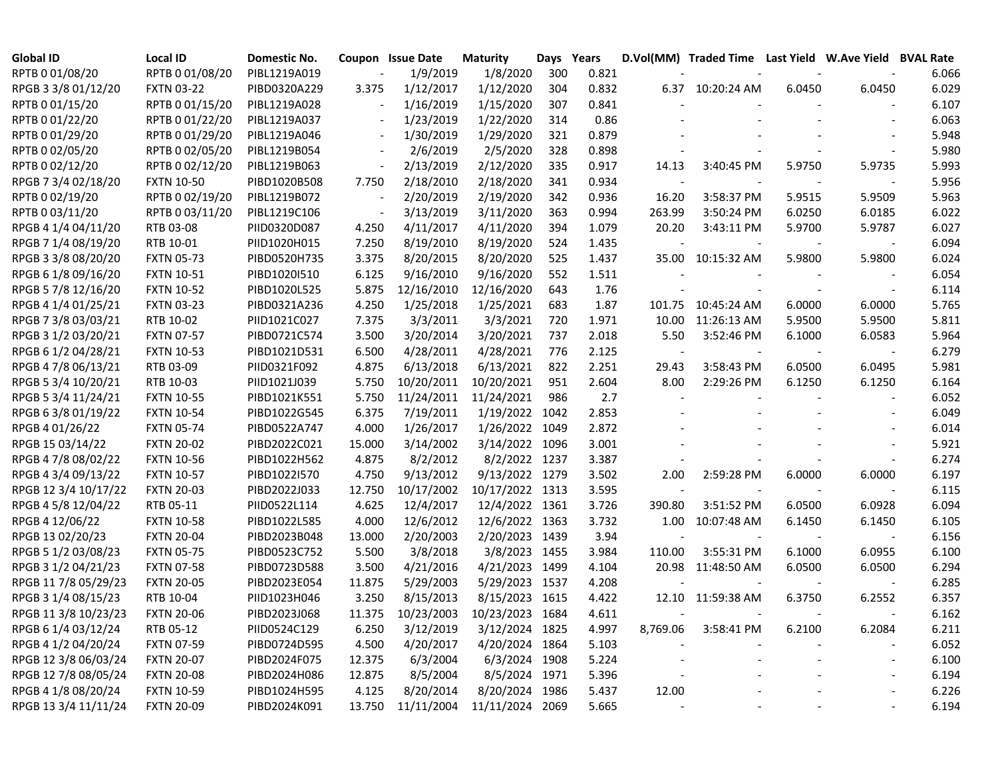| <b>Global ID</b>     | <b>Local ID</b>   | Domestic No. |                          | Coupon Issue Date | <b>Maturity</b> | Days Years |       |                          |                    |        | D.Vol(MM) Traded Time Last Yield W.Ave Yield BVAL Rate |       |
|----------------------|-------------------|--------------|--------------------------|-------------------|-----------------|------------|-------|--------------------------|--------------------|--------|--------------------------------------------------------|-------|
| RPTB 0 01/08/20      | RPTB 0 01/08/20   | PIBL1219A019 |                          | 1/9/2019          | 1/8/2020        | 300        | 0.821 |                          |                    |        |                                                        | 6.066 |
| RPGB 3 3/8 01/12/20  | <b>FXTN 03-22</b> | PIBD0320A229 | 3.375                    | 1/12/2017         | 1/12/2020       | 304        | 0.832 |                          | 6.37 10:20:24 AM   | 6.0450 | 6.0450                                                 | 6.029 |
| RPTB 0 01/15/20      | RPTB 0 01/15/20   | PIBL1219A028 |                          | 1/16/2019         | 1/15/2020       | 307        | 0.841 |                          |                    |        |                                                        | 6.107 |
| RPTB 0 01/22/20      | RPTB 0 01/22/20   | PIBL1219A037 |                          | 1/23/2019         | 1/22/2020       | 314        | 0.86  |                          |                    |        |                                                        | 6.063 |
| RPTB 0 01/29/20      | RPTB 0 01/29/20   | PIBL1219A046 | $\overline{\phantom{a}}$ | 1/30/2019         | 1/29/2020       | 321        | 0.879 |                          |                    |        |                                                        | 5.948 |
| RPTB 0 02/05/20      | RPTB 0 02/05/20   | PIBL1219B054 |                          | 2/6/2019          | 2/5/2020        | 328        | 0.898 |                          |                    |        |                                                        | 5.980 |
| RPTB 0 02/12/20      | RPTB 0 02/12/20   | PIBL1219B063 | $\overline{\phantom{a}}$ | 2/13/2019         | 2/12/2020       | 335        | 0.917 | 14.13                    | 3:40:45 PM         | 5.9750 | 5.9735                                                 | 5.993 |
| RPGB 7 3/4 02/18/20  | <b>FXTN 10-50</b> | PIBD1020B508 | 7.750                    | 2/18/2010         | 2/18/2020       | 341        | 0.934 |                          |                    |        |                                                        | 5.956 |
| RPTB 0 02/19/20      | RPTB 0 02/19/20   | PIBL1219B072 | $\overline{\phantom{a}}$ | 2/20/2019         | 2/19/2020       | 342        | 0.936 | 16.20                    | 3:58:37 PM         | 5.9515 | 5.9509                                                 | 5.963 |
| RPTB 0 03/11/20      | RPTB 0 03/11/20   | PIBL1219C106 |                          | 3/13/2019         | 3/11/2020       | 363        | 0.994 | 263.99                   | 3:50:24 PM         | 6.0250 | 6.0185                                                 | 6.022 |
| RPGB 4 1/4 04/11/20  | RTB 03-08         | PIID0320D087 | 4.250                    | 4/11/2017         | 4/11/2020       | 394        | 1.079 | 20.20                    | 3:43:11 PM         | 5.9700 | 5.9787                                                 | 6.027 |
| RPGB 7 1/4 08/19/20  | RTB 10-01         | PIID1020H015 | 7.250                    | 8/19/2010         | 8/19/2020       | 524        | 1.435 |                          |                    |        |                                                        | 6.094 |
| RPGB 3 3/8 08/20/20  | <b>FXTN 05-73</b> | PIBD0520H735 | 3.375                    | 8/20/2015         | 8/20/2020       | 525        | 1.437 |                          | 35.00 10:15:32 AM  | 5.9800 | 5.9800                                                 | 6.024 |
| RPGB 6 1/8 09/16/20  | <b>FXTN 10-51</b> | PIBD1020I510 | 6.125                    | 9/16/2010         | 9/16/2020       | 552        | 1.511 |                          |                    |        |                                                        | 6.054 |
| RPGB 5 7/8 12/16/20  | <b>FXTN 10-52</b> | PIBD1020L525 | 5.875                    | 12/16/2010        | 12/16/2020      | 643        | 1.76  |                          |                    |        |                                                        | 6.114 |
| RPGB 4 1/4 01/25/21  | <b>FXTN 03-23</b> | PIBD0321A236 | 4.250                    | 1/25/2018         | 1/25/2021       | 683        | 1.87  |                          | 101.75 10:45:24 AM | 6.0000 | 6.0000                                                 | 5.765 |
| RPGB 7 3/8 03/03/21  | RTB 10-02         | PIID1021C027 | 7.375                    | 3/3/2011          | 3/3/2021        | 720        | 1.971 |                          | 10.00 11:26:13 AM  | 5.9500 | 5.9500                                                 | 5.811 |
| RPGB 3 1/2 03/20/21  | <b>FXTN 07-57</b> | PIBD0721C574 | 3.500                    | 3/20/2014         | 3/20/2021       | 737        | 2.018 | 5.50                     | 3:52:46 PM         | 6.1000 | 6.0583                                                 | 5.964 |
| RPGB 6 1/2 04/28/21  | <b>FXTN 10-53</b> | PIBD1021D531 | 6.500                    | 4/28/2011         | 4/28/2021       | 776        | 2.125 | $\overline{\phantom{a}}$ |                    |        |                                                        | 6.279 |
| RPGB 4 7/8 06/13/21  | RTB 03-09         | PIID0321F092 | 4.875                    | 6/13/2018         | 6/13/2021       | 822        | 2.251 | 29.43                    | 3:58:43 PM         | 6.0500 | 6.0495                                                 | 5.981 |
| RPGB 5 3/4 10/20/21  | RTB 10-03         | PIID1021J039 | 5.750                    | 10/20/2011        | 10/20/2021      | 951        | 2.604 | 8.00                     | 2:29:26 PM         | 6.1250 | 6.1250                                                 | 6.164 |
| RPGB 5 3/4 11/24/21  | <b>FXTN 10-55</b> | PIBD1021K551 | 5.750                    | 11/24/2011        | 11/24/2021      | 986        | 2.7   |                          |                    |        |                                                        | 6.052 |
| RPGB 6 3/8 01/19/22  | <b>FXTN 10-54</b> | PIBD1022G545 | 6.375                    | 7/19/2011         | 1/19/2022       | 1042       | 2.853 |                          |                    |        |                                                        | 6.049 |
| RPGB 4 01/26/22      | <b>FXTN 05-74</b> | PIBD0522A747 | 4.000                    | 1/26/2017         | 1/26/2022       | 1049       | 2.872 |                          |                    |        |                                                        | 6.014 |
| RPGB 15 03/14/22     | <b>FXTN 20-02</b> | PIBD2022C021 | 15.000                   | 3/14/2002         | 3/14/2022       | 1096       | 3.001 |                          |                    |        |                                                        | 5.921 |
| RPGB 4 7/8 08/02/22  | <b>FXTN 10-56</b> | PIBD1022H562 | 4.875                    | 8/2/2012          | 8/2/2022 1237   |            | 3.387 |                          |                    |        |                                                        | 6.274 |
| RPGB 4 3/4 09/13/22  | <b>FXTN 10-57</b> | PIBD1022I570 | 4.750                    | 9/13/2012         | 9/13/2022       | 1279       | 3.502 | 2.00                     | 2:59:28 PM         | 6.0000 | 6.0000                                                 | 6.197 |
| RPGB 12 3/4 10/17/22 | <b>FXTN 20-03</b> | PIBD2022J033 | 12.750                   | 10/17/2002        | 10/17/2022 1313 |            | 3.595 |                          |                    |        |                                                        | 6.115 |
| RPGB 4 5/8 12/04/22  | RTB 05-11         | PIID0522L114 | 4.625                    | 12/4/2017         | 12/4/2022 1361  |            | 3.726 | 390.80                   | 3:51:52 PM         | 6.0500 | 6.0928                                                 | 6.094 |
| RPGB 4 12/06/22      | <b>FXTN 10-58</b> | PIBD1022L585 | 4.000                    | 12/6/2012         | 12/6/2022 1363  |            | 3.732 | 1.00                     | 10:07:48 AM        | 6.1450 | 6.1450                                                 | 6.105 |
| RPGB 13 02/20/23     | <b>FXTN 20-04</b> | PIBD2023B048 | 13.000                   | 2/20/2003         | 2/20/2023       | 1439       | 3.94  |                          |                    |        |                                                        | 6.156 |
| RPGB 5 1/2 03/08/23  | <b>FXTN 05-75</b> | PIBD0523C752 | 5.500                    | 3/8/2018          | 3/8/2023        | 1455       | 3.984 | 110.00                   | 3:55:31 PM         | 6.1000 | 6.0955                                                 | 6.100 |
| RPGB 3 1/2 04/21/23  | <b>FXTN 07-58</b> | PIBD0723D588 | 3.500                    | 4/21/2016         | 4/21/2023       | 1499       | 4.104 |                          | 20.98 11:48:50 AM  | 6.0500 | 6.0500                                                 | 6.294 |
| RPGB 11 7/8 05/29/23 | <b>FXTN 20-05</b> | PIBD2023E054 | 11.875                   | 5/29/2003         | 5/29/2023 1537  |            | 4.208 |                          |                    |        |                                                        | 6.285 |
| RPGB 3 1/4 08/15/23  | RTB 10-04         | PIID1023H046 | 3.250                    | 8/15/2013         | 8/15/2023 1615  |            | 4.422 |                          | 12.10 11:59:38 AM  | 6.3750 | 6.2552                                                 | 6.357 |
| RPGB 11 3/8 10/23/23 | <b>FXTN 20-06</b> | PIBD2023J068 | 11.375                   | 10/23/2003        | 10/23/2023 1684 |            | 4.611 |                          |                    |        |                                                        | 6.162 |
| RPGB 6 1/4 03/12/24  | RTB 05-12         | PIID0524C129 | 6.250                    | 3/12/2019         | 3/12/2024 1825  |            | 4.997 | 8,769.06                 | 3:58:41 PM         | 6.2100 | 6.2084                                                 | 6.211 |
| RPGB 4 1/2 04/20/24  | <b>FXTN 07-59</b> | PIBD0724D595 | 4.500                    | 4/20/2017         | 4/20/2024 1864  |            | 5.103 |                          |                    |        |                                                        | 6.052 |
| RPGB 12 3/8 06/03/24 | <b>FXTN 20-07</b> | PIBD2024F075 | 12.375                   | 6/3/2004          | 6/3/2024 1908   |            | 5.224 |                          |                    |        | $\overline{\phantom{a}}$                               | 6.100 |
| RPGB 12 7/8 08/05/24 | <b>FXTN 20-08</b> | PIBD2024H086 | 12.875                   | 8/5/2004          | 8/5/2024 1971   |            | 5.396 |                          |                    |        | $\overline{\phantom{a}}$                               | 6.194 |
| RPGB 4 1/8 08/20/24  | <b>FXTN 10-59</b> | PIBD1024H595 | 4.125                    | 8/20/2014         | 8/20/2024 1986  |            | 5.437 | 12.00                    |                    |        |                                                        | 6.226 |
| RPGB 13 3/4 11/11/24 | <b>FXTN 20-09</b> | PIBD2024K091 | 13.750                   | 11/11/2004        | 11/11/2024 2069 |            | 5.665 | $\overline{\phantom{a}}$ |                    |        |                                                        | 6.194 |